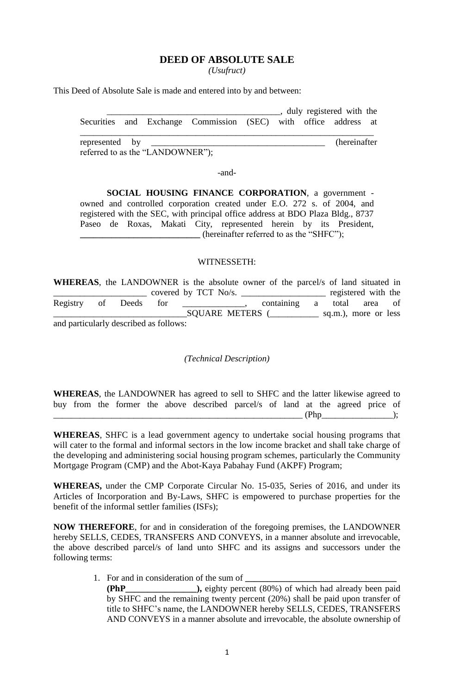## **DEED OF ABSOLUTE SALE**

*(Usufruct)*

This Deed of Absolute Sale is made and entered into by and between:

|  |                                  |                                                                 |  | , duly registered with the |  |
|--|----------------------------------|-----------------------------------------------------------------|--|----------------------------|--|
|  |                                  | Securities and Exchange Commission (SEC) with office address at |  |                            |  |
|  |                                  |                                                                 |  | (hereinafter)              |  |
|  | referred to as the "LANDOWNER"); |                                                                 |  |                            |  |

-and-

**SOCIAL HOUSING FINANCE CORPORATION**, a government owned and controlled corporation created under E.O. 272 s. of 2004, and registered with the SEC, with principal office address at BDO Plaza Bldg., 8737 Paseo de Roxas, Makati City, represented herein by its President, **\_\_\_\_\_\_\_\_\_\_\_\_\_\_\_\_\_\_\_\_\_\_\_\_\_\_\_** (hereinafter referred to as the "SHFC");

## WITNESSETH:

**WHEREAS**, the LANDOWNER is the absolute owner of the parcel/s of land situated in \_\_\_\_\_\_\_\_\_\_\_\_\_\_\_\_\_\_\_\_\_ covered by TCT No/s. \_\_\_\_\_\_\_\_\_\_\_\_\_\_\_\_\_\_\_ registered with the Registry of Deeds for the containing a total area of SQUARE METERS (\_\_\_\_\_\_\_\_\_\_\_\_\_ sq.m.), more or less and particularly described as follows:

 *(Technical Description)*

|  |  |  | <b>WHEREAS</b> , the LANDOWNER has agreed to sell to SHFC and the latter likewise agreed to |  |       |  |  |
|--|--|--|---------------------------------------------------------------------------------------------|--|-------|--|--|
|  |  |  | buy from the former the above described parcel/s of land at the agreed price of             |  |       |  |  |
|  |  |  |                                                                                             |  | (Php) |  |  |

**WHEREAS**, SHFC is a lead government agency to undertake social housing programs that will cater to the formal and informal sectors in the low income bracket and shall take charge of the developing and administering social housing program schemes, particularly the Community Mortgage Program (CMP) and the Abot-Kaya Pabahay Fund (AKPF) Program;

**WHEREAS,** under the CMP Corporate Circular No. 15-035, Series of 2016, and under its Articles of Incorporation and By-Laws, SHFC is empowered to purchase properties for the benefit of the informal settler families (ISFs);

**NOW THEREFORE**, for and in consideration of the foregoing premises, the LANDOWNER hereby SELLS, CEDES, TRANSFERS AND CONVEYS, in a manner absolute and irrevocable, the above described parcel/s of land unto SHFC and its assigns and successors under the following terms:

> 1. For and in consideration of the sum of **\_\_\_\_\_\_\_\_\_\_\_\_\_\_\_\_\_\_\_\_\_\_\_\_\_\_\_\_\_\_\_\_\_\_ (PhP\_\_\_\_\_\_\_\_\_\_\_\_\_\_\_\_),** eighty percent (80%) of which had already been paid by SHFC and the remaining twenty percent (20%) shall be paid upon transfer of title to SHFC's name, the LANDOWNER hereby SELLS, CEDES, TRANSFERS AND CONVEYS in a manner absolute and irrevocable, the absolute ownership of